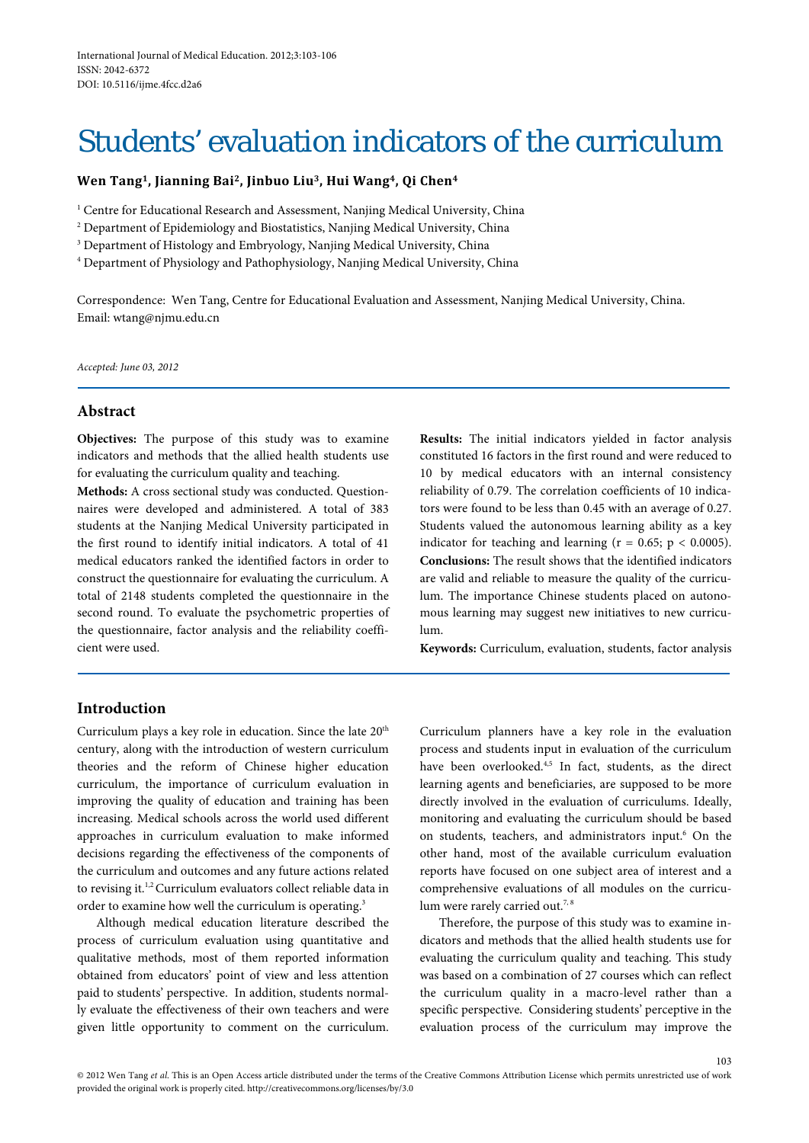# Students' evaluation indicators of the curriculum

## **Wen Tang1, Jianning Bai2, Jinbuo Liu3, Hui Wang4, Qi Chen4**

<sup>1</sup> Centre for Educational Research and Assessment, Nanjing Medical University, China

<sup>2</sup> Department of Epidemiology and Biostatistics, Nanjing Medical University, China

<sup>3</sup> Department of Histology and Embryology, Nanjing Medical University, China

<sup>4</sup> Department of Physiology and Pathophysiology, Nanjing Medical University, China

Correspondence: Wen Tang, Centre for Educational Evaluation and Assessment, Nanjing Medical University, China. Email: wtang@njmu.edu.cn

*Accepted: June 03, 2012*

# **Abstract**

**Objectives:** The purpose of this study was to examine indicators and methods that the allied health students use for evaluating the curriculum quality and teaching.

**Methods:** A cross sectional study was conducted. Questionnaires were developed and administered. A total of 383 students at the Nanjing Medical University participated in the first round to identify initial indicators. A total of 41 medical educators ranked the identified factors in order to construct the questionnaire for evaluating the curriculum. A total of 2148 students completed the questionnaire in the second round. To evaluate the psychometric properties of the questionnaire, factor analysis and the reliability coefficient were used.

**Results:** The initial indicators yielded in factor analysis constituted 16 factors in the first round and were reduced to 10 by medical educators with an internal consistency reliability of 0.79. The correlation coefficients of 10 indicators were found to be less than 0.45 with an average of 0.27. Students valued the autonomous learning ability as a key indicator for teaching and learning ( $r = 0.65$ ;  $p < 0.0005$ ). **Conclusions:** The result shows that the identified indicators are valid and reliable to measure the quality of the curriculum. The importance Chinese students placed on autonomous learning may suggest new initiatives to new curriculum.

**Keywords:** Curriculum, evaluation, students, factor analysis

# **Introduction**

Curriculum plays a key role in education. Since the late 20<sup>th</sup> century, along with the introduction of western curriculum theories and the reform of Chinese higher education curriculum, the importance of curriculum evaluation in improving the quality of education and training has been increasing. Medical schools across the world used different approaches in curriculum evaluation to make informed decisions regarding the effectiveness of the components of the curriculum and outcomes and any future actions related to revising it.<sup>1,2</sup> Curriculum evaluators collect reliable data in order to examine how well the curriculum is operating.3

Although medical education literature described the process of curriculum evaluation using quantitative and qualitative methods, most of them reported information obtained from educators' point of view and less attention paid to students' perspective. In addition, students normally evaluate the effectiveness of their own teachers and were given little opportunity to comment on the curriculum.

Curriculum planners have a key role in the evaluation process and students input in evaluation of the curriculum have been overlooked.<sup>4,5</sup> In fact, students, as the direct learning agents and beneficiaries, are supposed to be more directly involved in the evaluation of curriculums. Ideally, monitoring and evaluating the curriculum should be based on students, teachers, and administrators input.<sup>6</sup> On the other hand, most of the available curriculum evaluation reports have focused on one subject area of interest and a comprehensive evaluations of all modules on the curriculum were rarely carried out.<sup>7, 8</sup>

Therefore, the purpose of this study was to examine indicators and methods that the allied health students use for evaluating the curriculum quality and teaching. This study was based on a combination of 27 courses which can reflect the curriculum quality in a macro-level rather than a specific perspective. Considering students' perceptive in the evaluation process of the curriculum may improve the

103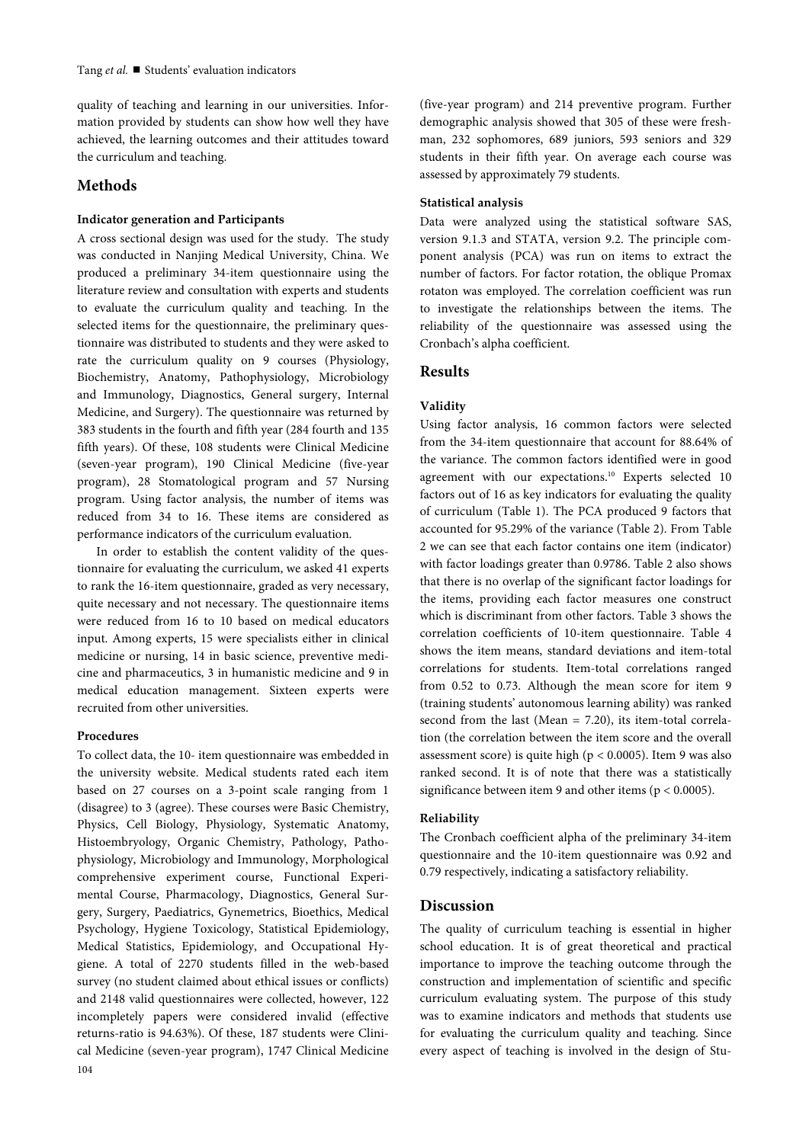quality of teaching and learning in our universities. Information provided by students can show how well they have achieved, the learning outcomes and their attitudes toward the curriculum and teaching.

## **Methods**

#### **Indicator generation and Participants**

A cross sectional design was used for the study. The study was conducted in Nanjing Medical University, China. We produced a preliminary 34-item questionnaire using the literature review and consultation with experts and students to evaluate the curriculum quality and teaching. In the selected items for the questionnaire, the preliminary questionnaire was distributed to students and they were asked to rate the curriculum quality on 9 courses (Physiology, Biochemistry, Anatomy, Pathophysiology, Microbiology and Immunology, Diagnostics, General surgery, Internal Medicine, and Surgery). The questionnaire was returned by 383 students in the fourth and fifth year (284 fourth and 135 fifth years). Of these, 108 students were Clinical Medicine (seven-year program), 190 Clinical Medicine (five-year program), 28 Stomatological program and 57 Nursing program. Using factor analysis, the number of items was reduced from 34 to 16. These items are considered as performance indicators of the curriculum evaluation.

In order to establish the content validity of the questionnaire for evaluating the curriculum, we asked 41 experts to rank the 16-item questionnaire, graded as very necessary, quite necessary and not necessary. The questionnaire items were reduced from 16 to 10 based on medical educators input. Among experts, 15 were specialists either in clinical medicine or nursing, 14 in basic science, preventive medicine and pharmaceutics, 3 in humanistic medicine and 9 in medical education management. Sixteen experts were recruited from other universities.

## **Procedures**

104 To collect data, the 10- item questionnaire was embedded in the university website. Medical students rated each item based on 27 courses on a 3-point scale ranging from 1 (disagree) to 3 (agree). These courses were Basic Chemistry, Physics, Cell Biology, Physiology, Systematic Anatomy, Histoembryology, Organic Chemistry, Pathology, Pathophysiology, Microbiology and Immunology, Morphological comprehensive experiment course, Functional Experimental Course, Pharmacology, Diagnostics, General Surgery, Surgery, Paediatrics, Gynemetrics, Bioethics, Medical Psychology, Hygiene Toxicology, Statistical Epidemiology, Medical Statistics, Epidemiology, and Occupational Hygiene. A total of 2270 students filled in the web-based survey (no student claimed about ethical issues or conflicts) and 2148 valid questionnaires were collected, however, 122 incompletely papers were considered invalid (effective returns-ratio is 94.63%). Of these, 187 students were Clinical Medicine (seven-year program), 1747 Clinical Medicine

(five-year program) and 214 preventive program. Further demographic analysis showed that 305 of these were freshman, 232 sophomores, 689 juniors, 593 seniors and 329 students in their fifth year. On average each course was assessed by approximately 79 students.

#### **Statistical analysis**

Data were analyzed using the statistical software SAS, version 9.1.3 and STATA, version 9.2. The principle component analysis (PCA) was run on items to extract the number of factors. For factor rotation, the oblique Promax rotaton was employed. The correlation coefficient was run to investigate the relationships between the items. The reliability of the questionnaire was assessed using the Cronbach's alpha coefficient.

## **Results**

## **Validity**

Using factor analysis, 16 common factors were selected from the 34-item questionnaire that account for 88.64% of the variance. The common factors identified were in good agreement with our expectations.<sup>10</sup> Experts selected 10 factors out of 16 as key indicators for evaluating the quality of curriculum (Table 1). The PCA produced 9 factors that accounted for 95.29% of the variance (Table 2). From Table 2 we can see that each factor contains one item (indicator) with factor loadings greater than 0.9786. Table 2 also shows that there is no overlap of the significant factor loadings for the items, providing each factor measures one construct which is discriminant from other factors. Table 3 shows the correlation coefficients of 10-item questionnaire. Table 4 shows the item means, standard deviations and item-total correlations for students. Item-total correlations ranged from 0.52 to 0.73. Although the mean score for item 9 (training students' autonomous learning ability) was ranked second from the last (Mean = 7.20), its item-total correlation (the correlation between the item score and the overall assessment score) is quite high ( $p < 0.0005$ ). Item 9 was also ranked second. It is of note that there was a statistically significance between item 9 and other items (p < 0.0005).

## **Reliability**

The Cronbach coefficient alpha of the preliminary 34-item questionnaire and the 10-item questionnaire was 0.92 and 0.79 respectively, indicating a satisfactory reliability.

## **Discussion**

The quality of curriculum teaching is essential in higher school education. It is of great theoretical and practical importance to improve the teaching outcome through the construction and implementation of scientific and specific curriculum evaluating system. The purpose of this study was to examine indicators and methods that students use for evaluating the curriculum quality and teaching. Since every aspect of teaching is involved in the design of Stu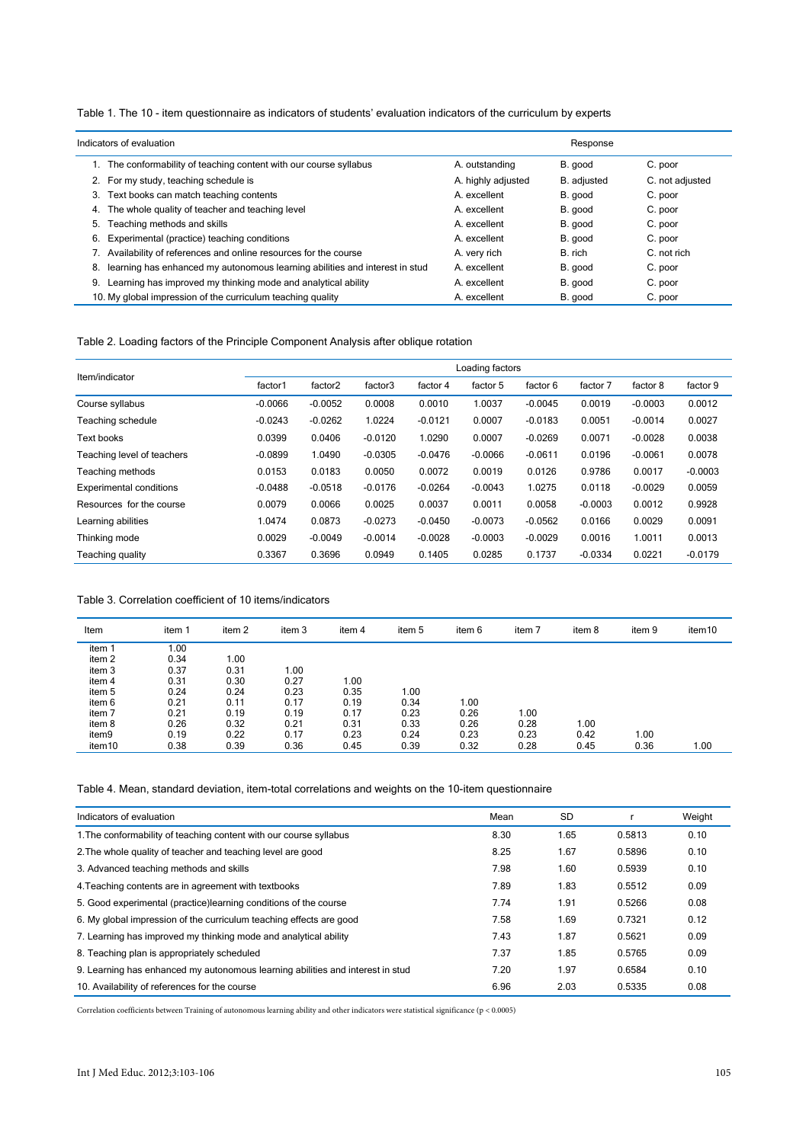Table 1. The 10 - item questionnaire as indicators of students' evaluation indicators of the curriculum by experts

|    | Indicators of evaluation                                                    | Response           |             |                 |  |
|----|-----------------------------------------------------------------------------|--------------------|-------------|-----------------|--|
|    | 1. The conformability of teaching content with our course syllabus          | A. outstanding     | B. good     | C. poor         |  |
|    | 2. For my study, teaching schedule is                                       | A. highly adjusted | B. adjusted | C. not adjusted |  |
| 3. | Text books can match teaching contents                                      | A. excellent       | B. good     | C. poor         |  |
| 4. | The whole quality of teacher and teaching level                             | A. excellent       | B. good     | C. poor         |  |
| 5. | Teaching methods and skills                                                 | A. excellent       | B. good     | C. poor         |  |
| 6. | Experimental (practice) teaching conditions                                 | A. excellent       | B. good     | C. poor         |  |
|    | 7. Availability of references and online resources for the course           | A. very rich       | B. rich     | C. not rich     |  |
| 8. | learning has enhanced my autonomous learning abilities and interest in stud | A. excellent       | B. good     | C. poor         |  |
| 9. | Learning has improved my thinking mode and analytical ability               | A. excellent       | B. good     | C. poor         |  |
|    | 10. My global impression of the curriculum teaching quality                 | A. excellent       | B. good     | C. poor         |  |

Table 2. Loading factors of the Principle Component Analysis after oblique rotation

|                                | Loading factors |           |           |           |           |           |           |           |           |  |  |
|--------------------------------|-----------------|-----------|-----------|-----------|-----------|-----------|-----------|-----------|-----------|--|--|
| Item/indicator                 | factor1         | factor2   | factor3   | factor 4  | factor 5  | factor 6  | factor 7  | factor 8  | factor 9  |  |  |
| Course syllabus                | $-0.0066$       | $-0.0052$ | 0.0008    | 0.0010    | 1.0037    | $-0.0045$ | 0.0019    | $-0.0003$ | 0.0012    |  |  |
| Teaching schedule              | $-0.0243$       | $-0.0262$ | 1.0224    | $-0.0121$ | 0.0007    | $-0.0183$ | 0.0051    | $-0.0014$ | 0.0027    |  |  |
| Text books                     | 0.0399          | 0.0406    | $-0.0120$ | 1.0290    | 0.0007    | $-0.0269$ | 0.0071    | $-0.0028$ | 0.0038    |  |  |
| Teaching level of teachers     | $-0.0899$       | 1.0490    | $-0.0305$ | $-0.0476$ | $-0.0066$ | $-0.0611$ | 0.0196    | $-0.0061$ | 0.0078    |  |  |
| Teaching methods               | 0.0153          | 0.0183    | 0.0050    | 0.0072    | 0.0019    | 0.0126    | 0.9786    | 0.0017    | $-0.0003$ |  |  |
| <b>Experimental conditions</b> | $-0.0488$       | $-0.0518$ | $-0.0176$ | $-0.0264$ | $-0.0043$ | 1.0275    | 0.0118    | $-0.0029$ | 0.0059    |  |  |
| Resources for the course       | 0.0079          | 0.0066    | 0.0025    | 0.0037    | 0.0011    | 0.0058    | $-0.0003$ | 0.0012    | 0.9928    |  |  |
| Learning abilities             | 1.0474          | 0.0873    | $-0.0273$ | $-0.0450$ | $-0.0073$ | $-0.0562$ | 0.0166    | 0.0029    | 0.0091    |  |  |
| Thinking mode                  | 0.0029          | $-0.0049$ | $-0.0014$ | $-0.0028$ | $-0.0003$ | $-0.0029$ | 0.0016    | 1.0011    | 0.0013    |  |  |
| Teaching quality               | 0.3367          | 0.3696    | 0.0949    | 0.1405    | 0.0285    | 0.1737    | $-0.0334$ | 0.0221    | $-0.0179$ |  |  |

#### Table 3. Correlation coefficient of 10 items/indicators

| Item              | item 1 | item 2 | item 3 | item 4 | item 5 | item 6 | item 7 | item 8 | item 9 | item10 |
|-------------------|--------|--------|--------|--------|--------|--------|--------|--------|--------|--------|
| item 1            | 0.00   |        |        |        |        |        |        |        |        |        |
| item <sub>2</sub> | 0.34   | 1.00   |        |        |        |        |        |        |        |        |
| item 3            | 0.37   | 0.31   | 1.00   |        |        |        |        |        |        |        |
| item 4            | 0.31   | 0.30   | 0.27   | 1.00   |        |        |        |        |        |        |
| item 5            | 0.24   | 0.24   | 0.23   | 0.35   | 1.00   |        |        |        |        |        |
| item 6            | 0.21   | 0.11   | 0.17   | 0.19   | 0.34   | 1.00   |        |        |        |        |
| item 7            | 0.21   | 0.19   | 0.19   | 0.17   | 0.23   | 0.26   | 1.00   |        |        |        |
| item 8            | 0.26   | 0.32   | 0.21   | 0.31   | 0.33   | 0.26   | 0.28   | 1.00   |        |        |
| item9             | 0.19   | 0.22   | 0.17   | 0.23   | 0.24   | 0.23   | 0.23   | 0.42   | 1.00   |        |
| item10            | 0.38   | 0.39   | 0.36   | 0.45   | 0.39   | 0.32   | 0.28   | 0.45   | 0.36   | 1.00   |

Table 4. Mean, standard deviation, item-total correlations and weights on the 10-item questionnaire

| Indicators of evaluation                                                       | Mean | <b>SD</b> |        | Weight |
|--------------------------------------------------------------------------------|------|-----------|--------|--------|
| 1. The conformability of teaching content with our course syllabus             | 8.30 | 1.65      | 0.5813 | 0.10   |
| 2. The whole quality of teacher and teaching level are good                    | 8.25 | 1.67      | 0.5896 | 0.10   |
| 3. Advanced teaching methods and skills                                        | 7.98 | 1.60      | 0.5939 | 0.10   |
| 4. Teaching contents are in agreement with textbooks                           | 7.89 | 1.83      | 0.5512 | 0.09   |
| 5. Good experimental (practice) learning conditions of the course              | 7.74 | 1.91      | 0.5266 | 0.08   |
| 6. My global impression of the curriculum teaching effects are good            | 7.58 | 1.69      | 0.7321 | 0.12   |
| 7. Learning has improved my thinking mode and analytical ability               | 7.43 | 1.87      | 0.5621 | 0.09   |
| 8. Teaching plan is appropriately scheduled                                    | 7.37 | 1.85      | 0.5765 | 0.09   |
| 9. Learning has enhanced my autonomous learning abilities and interest in stud | 7.20 | 1.97      | 0.6584 | 0.10   |
| 10. Availability of references for the course                                  | 6.96 | 2.03      | 0.5335 | 0.08   |

Correlation coefficients between Training of autonomous learning ability and other indicators were statistical significance ( $p < 0.0005$ )